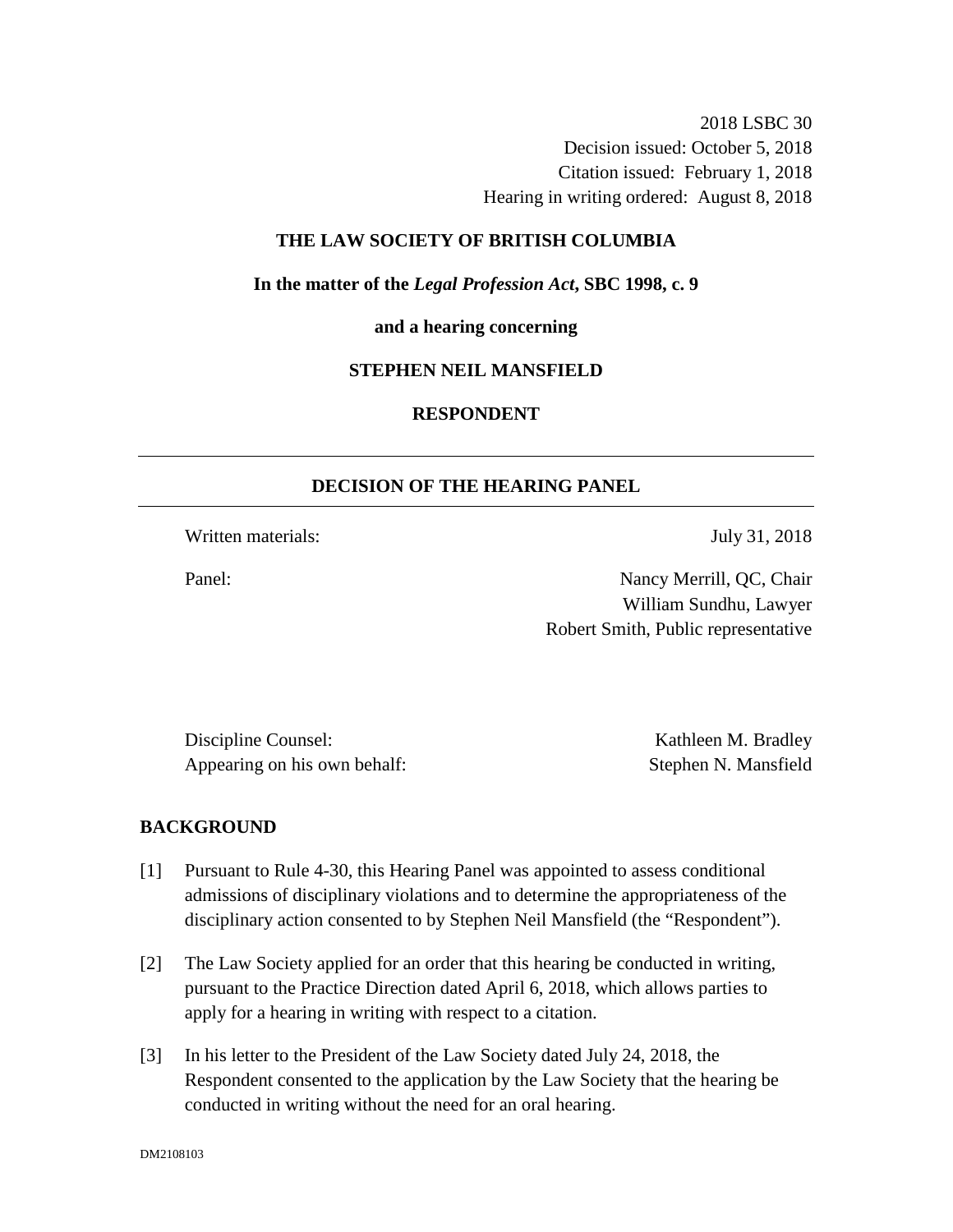2018 LSBC 30 Decision issued: October 5, 2018 Citation issued: February 1, 2018 Hearing in writing ordered: August 8, 2018

## **THE LAW SOCIETY OF BRITISH COLUMBIA**

**In the matter of the** *Legal Profession Act***, SBC 1998, c. 9** 

**and a hearing concerning**

#### **STEPHEN NEIL MANSFIELD**

# **RESPONDENT**

### **DECISION OF THE HEARING PANEL**

Written materials: July 31, 2018

Panel: Nancy Merrill, QC, Chair William Sundhu, Lawyer Robert Smith, Public representative

Discipline Counsel: Kathleen M. Bradley Appearing on his own behalf: Stephen N. Mansfield

### **BACKGROUND**

- [1] Pursuant to Rule 4-30, this Hearing Panel was appointed to assess conditional admissions of disciplinary violations and to determine the appropriateness of the disciplinary action consented to by Stephen Neil Mansfield (the "Respondent").
- [2] The Law Society applied for an order that this hearing be conducted in writing, pursuant to the Practice Direction dated April 6, 2018, which allows parties to apply for a hearing in writing with respect to a citation.
- [3] In his letter to the President of the Law Society dated July 24, 2018, the Respondent consented to the application by the Law Society that the hearing be conducted in writing without the need for an oral hearing.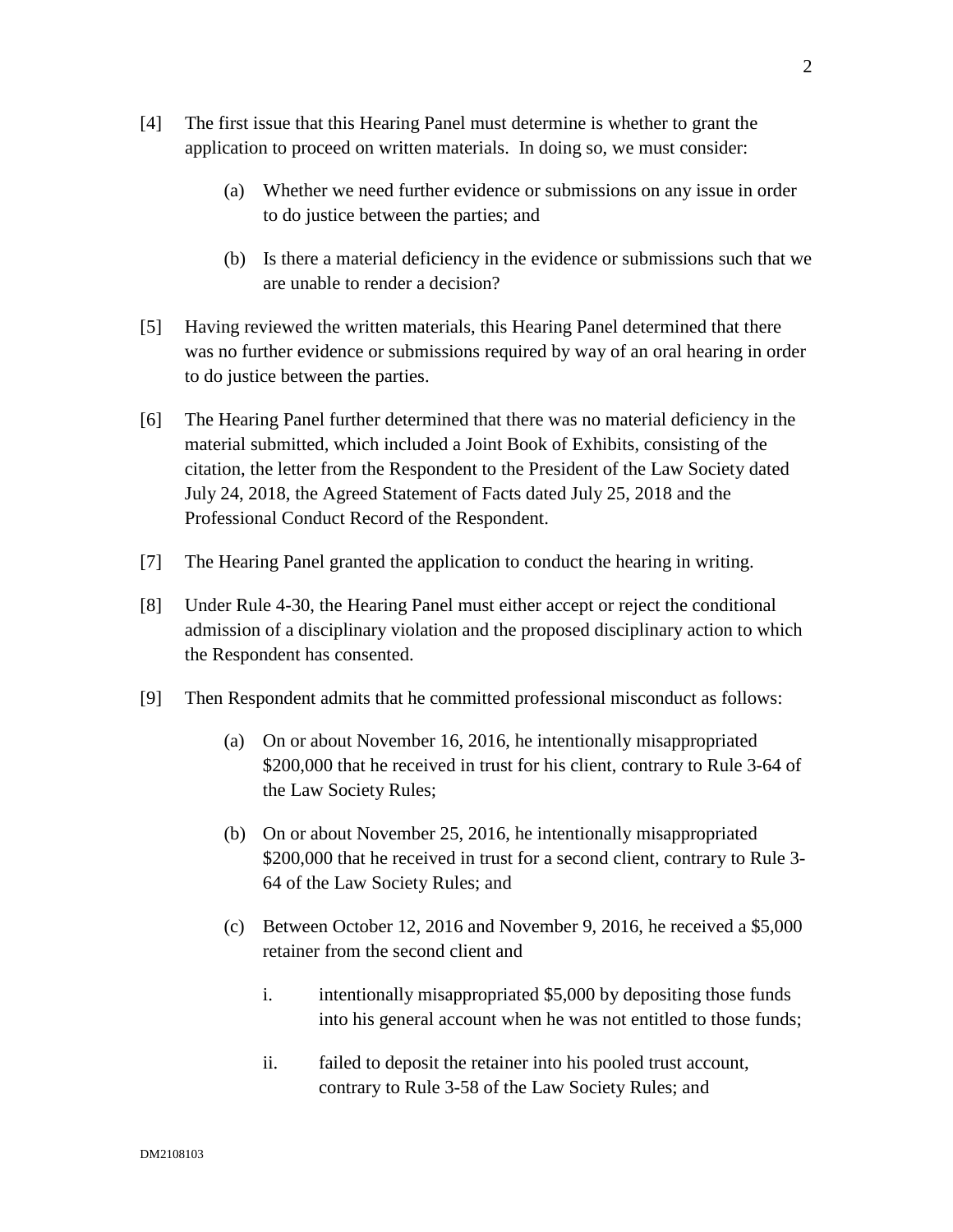- [4] The first issue that this Hearing Panel must determine is whether to grant the application to proceed on written materials. In doing so, we must consider:
	- (a) Whether we need further evidence or submissions on any issue in order to do justice between the parties; and
	- (b) Is there a material deficiency in the evidence or submissions such that we are unable to render a decision?
- [5] Having reviewed the written materials, this Hearing Panel determined that there was no further evidence or submissions required by way of an oral hearing in order to do justice between the parties.
- [6] The Hearing Panel further determined that there was no material deficiency in the material submitted, which included a Joint Book of Exhibits, consisting of the citation, the letter from the Respondent to the President of the Law Society dated July 24, 2018, the Agreed Statement of Facts dated July 25, 2018 and the Professional Conduct Record of the Respondent.
- [7] The Hearing Panel granted the application to conduct the hearing in writing.
- [8] Under Rule 4-30, the Hearing Panel must either accept or reject the conditional admission of a disciplinary violation and the proposed disciplinary action to which the Respondent has consented.
- [9] Then Respondent admits that he committed professional misconduct as follows:
	- (a) On or about November 16, 2016, he intentionally misappropriated \$200,000 that he received in trust for his client, contrary to Rule 3-64 of the Law Society Rules;
	- (b) On or about November 25, 2016, he intentionally misappropriated \$200,000 that he received in trust for a second client, contrary to Rule 3-64 of the Law Society Rules; and
	- (c) Between October 12, 2016 and November 9, 2016, he received a \$5,000 retainer from the second client and
		- i. intentionally misappropriated \$5,000 by depositing those funds into his general account when he was not entitled to those funds;
		- ii. failed to deposit the retainer into his pooled trust account, contrary to Rule 3-58 of the Law Society Rules; and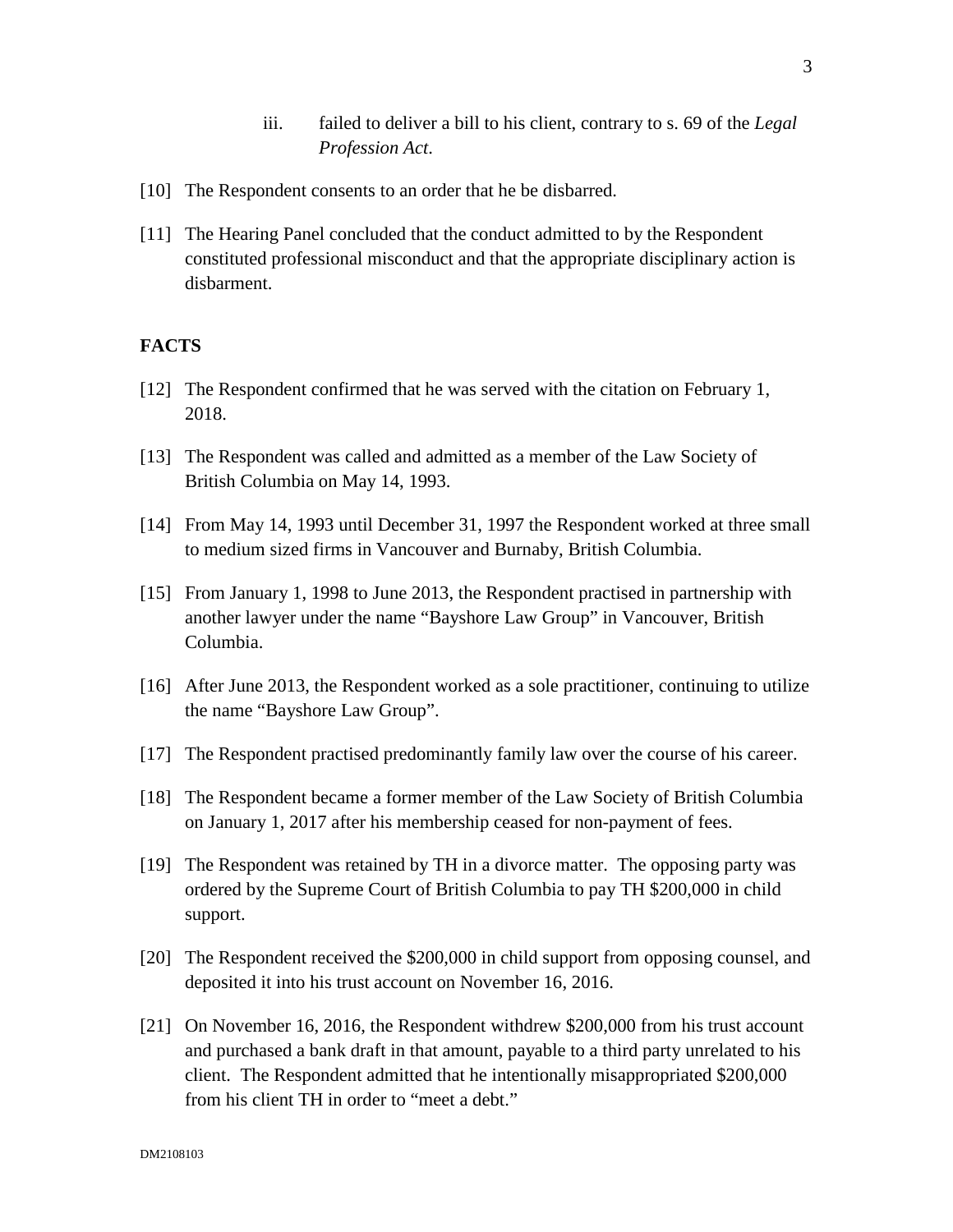- iii. failed to deliver a bill to his client, contrary to s. 69 of the *Legal Profession Act*.
- [10] The Respondent consents to an order that he be disbarred.
- [11] The Hearing Panel concluded that the conduct admitted to by the Respondent constituted professional misconduct and that the appropriate disciplinary action is disbarment.

# **FACTS**

- [12] The Respondent confirmed that he was served with the citation on February 1, 2018.
- [13] The Respondent was called and admitted as a member of the Law Society of British Columbia on May 14, 1993.
- [14] From May 14, 1993 until December 31, 1997 the Respondent worked at three small to medium sized firms in Vancouver and Burnaby, British Columbia.
- [15] From January 1, 1998 to June 2013, the Respondent practised in partnership with another lawyer under the name "Bayshore Law Group" in Vancouver, British Columbia.
- [16] After June 2013, the Respondent worked as a sole practitioner, continuing to utilize the name "Bayshore Law Group".
- [17] The Respondent practised predominantly family law over the course of his career.
- [18] The Respondent became a former member of the Law Society of British Columbia on January 1, 2017 after his membership ceased for non-payment of fees.
- [19] The Respondent was retained by TH in a divorce matter. The opposing party was ordered by the Supreme Court of British Columbia to pay TH \$200,000 in child support.
- [20] The Respondent received the \$200,000 in child support from opposing counsel, and deposited it into his trust account on November 16, 2016.
- [21] On November 16, 2016, the Respondent withdrew \$200,000 from his trust account and purchased a bank draft in that amount, payable to a third party unrelated to his client. The Respondent admitted that he intentionally misappropriated \$200,000 from his client TH in order to "meet a debt."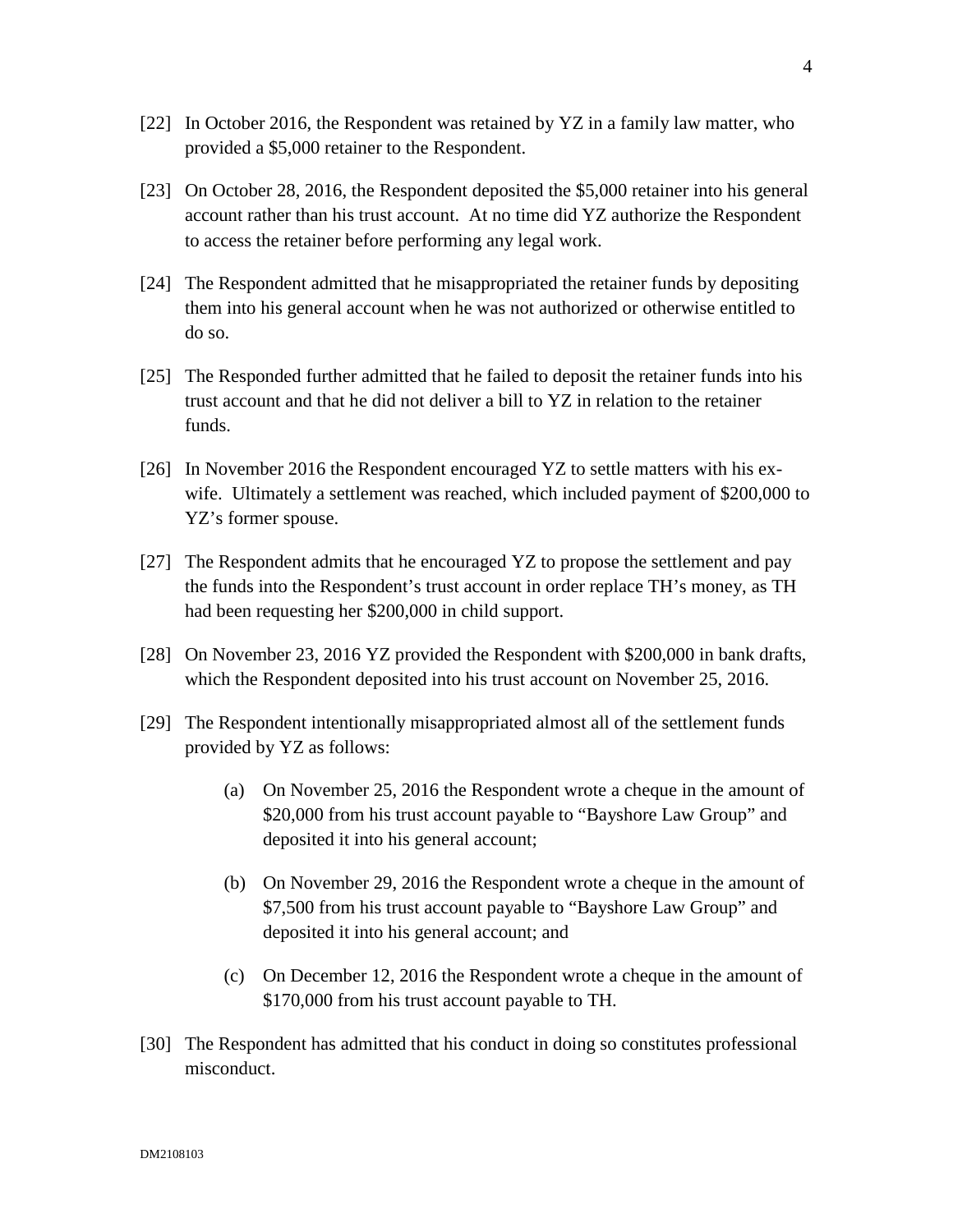- [22] In October 2016, the Respondent was retained by YZ in a family law matter, who provided a \$5,000 retainer to the Respondent.
- [23] On October 28, 2016, the Respondent deposited the \$5,000 retainer into his general account rather than his trust account. At no time did YZ authorize the Respondent to access the retainer before performing any legal work.
- [24] The Respondent admitted that he misappropriated the retainer funds by depositing them into his general account when he was not authorized or otherwise entitled to do so.
- [25] The Responded further admitted that he failed to deposit the retainer funds into his trust account and that he did not deliver a bill to YZ in relation to the retainer funds.
- [26] In November 2016 the Respondent encouraged YZ to settle matters with his exwife. Ultimately a settlement was reached, which included payment of \$200,000 to YZ's former spouse.
- [27] The Respondent admits that he encouraged YZ to propose the settlement and pay the funds into the Respondent's trust account in order replace TH's money, as TH had been requesting her \$200,000 in child support.
- [28] On November 23, 2016 YZ provided the Respondent with \$200,000 in bank drafts, which the Respondent deposited into his trust account on November 25, 2016.
- [29] The Respondent intentionally misappropriated almost all of the settlement funds provided by YZ as follows:
	- (a) On November 25, 2016 the Respondent wrote a cheque in the amount of \$20,000 from his trust account payable to "Bayshore Law Group" and deposited it into his general account;
	- (b) On November 29, 2016 the Respondent wrote a cheque in the amount of \$7,500 from his trust account payable to "Bayshore Law Group" and deposited it into his general account; and
	- (c) On December 12, 2016 the Respondent wrote a cheque in the amount of \$170,000 from his trust account payable to TH.
- [30] The Respondent has admitted that his conduct in doing so constitutes professional misconduct.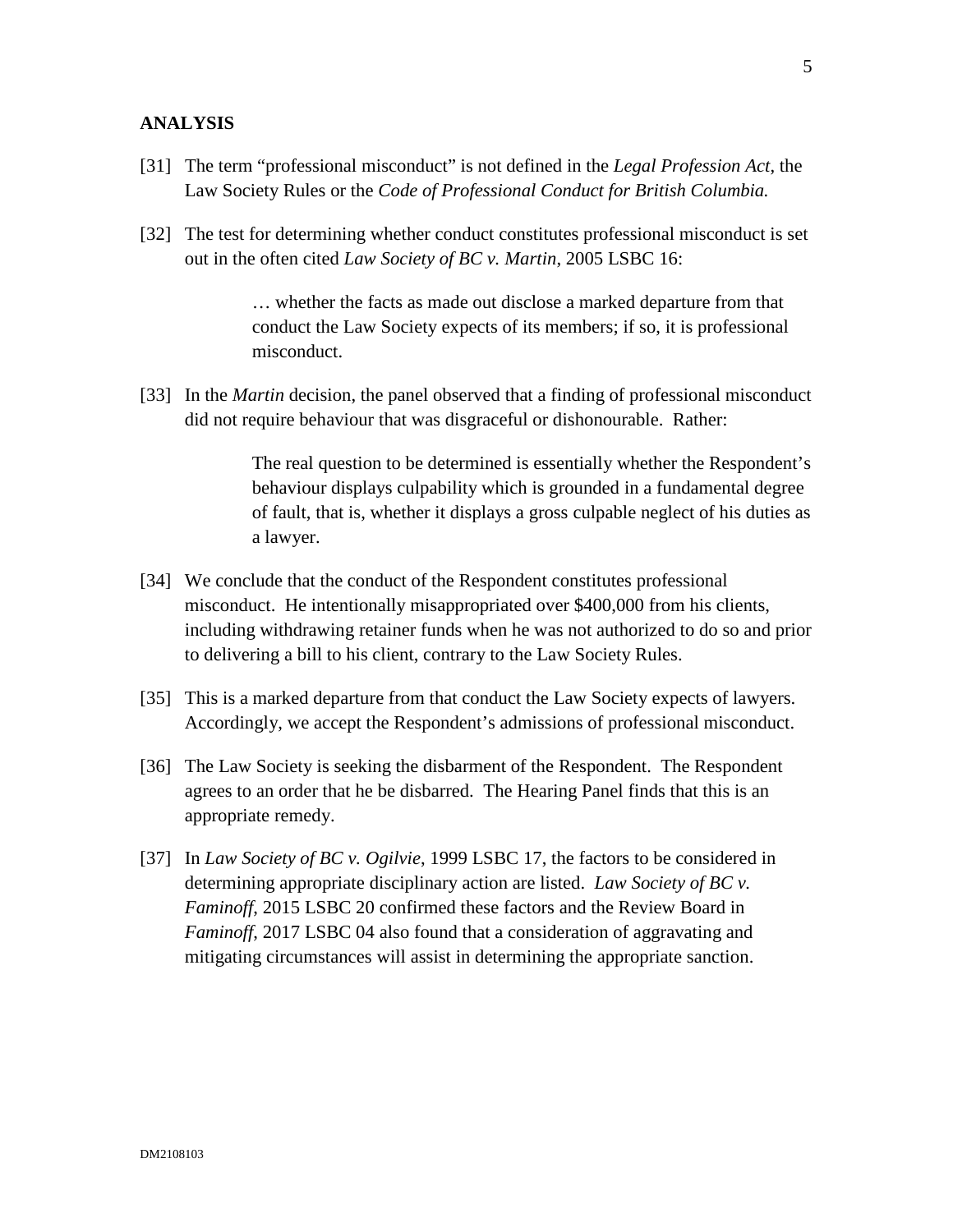#### **ANALYSIS**

- [31] The term "professional misconduct" is not defined in the *Legal Profession Act*, the Law Society Rules or the *Code of Professional Conduct for British Columbia.*
- [32] The test for determining whether conduct constitutes professional misconduct is set out in the often cited *Law Society of BC v. Martin*, 2005 LSBC 16:

… whether the facts as made out disclose a marked departure from that conduct the Law Society expects of its members; if so, it is professional misconduct.

[33] In the *Martin* decision, the panel observed that a finding of professional misconduct did not require behaviour that was disgraceful or dishonourable. Rather:

> The real question to be determined is essentially whether the Respondent's behaviour displays culpability which is grounded in a fundamental degree of fault, that is, whether it displays a gross culpable neglect of his duties as a lawyer.

- [34] We conclude that the conduct of the Respondent constitutes professional misconduct. He intentionally misappropriated over \$400,000 from his clients, including withdrawing retainer funds when he was not authorized to do so and prior to delivering a bill to his client, contrary to the Law Society Rules.
- [35] This is a marked departure from that conduct the Law Society expects of lawyers. Accordingly, we accept the Respondent's admissions of professional misconduct.
- [36] The Law Society is seeking the disbarment of the Respondent. The Respondent agrees to an order that he be disbarred. The Hearing Panel finds that this is an appropriate remedy.
- [37] In *Law Society of BC v. Ogilvie*, 1999 LSBC 17, the factors to be considered in determining appropriate disciplinary action are listed. *Law Society of BC v. Faminoff*, 2015 LSBC 20 confirmed these factors and the Review Board in *Faminoff*, 2017 LSBC 04 also found that a consideration of aggravating and mitigating circumstances will assist in determining the appropriate sanction.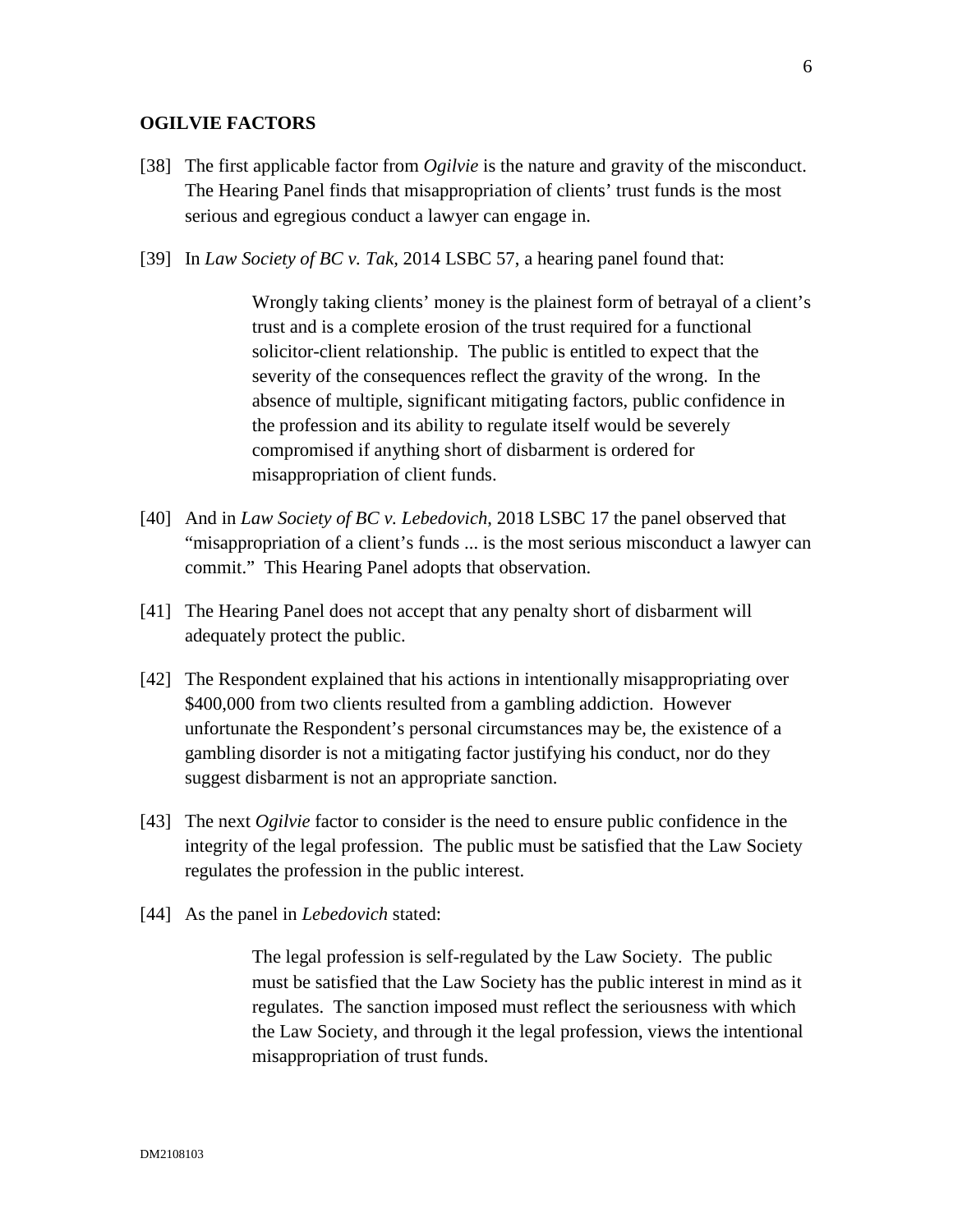## **OGILVIE FACTORS**

- [38] The first applicable factor from *Ogilvie* is the nature and gravity of the misconduct. The Hearing Panel finds that misappropriation of clients' trust funds is the most serious and egregious conduct a lawyer can engage in.
- [39] In *Law Society of BC v. Tak,* 2014 LSBC 57, a hearing panel found that:

Wrongly taking clients' money is the plainest form of betrayal of a client's trust and is a complete erosion of the trust required for a functional solicitor-client relationship. The public is entitled to expect that the severity of the consequences reflect the gravity of the wrong. In the absence of multiple, significant mitigating factors, public confidence in the profession and its ability to regulate itself would be severely compromised if anything short of disbarment is ordered for misappropriation of client funds.

- [40] And in *Law Society of BC v. Lebedovich*, 2018 LSBC 17 the panel observed that "misappropriation of a client's funds ... is the most serious misconduct a lawyer can commit." This Hearing Panel adopts that observation.
- [41] The Hearing Panel does not accept that any penalty short of disbarment will adequately protect the public.
- [42] The Respondent explained that his actions in intentionally misappropriating over \$400,000 from two clients resulted from a gambling addiction. However unfortunate the Respondent's personal circumstances may be, the existence of a gambling disorder is not a mitigating factor justifying his conduct, nor do they suggest disbarment is not an appropriate sanction.
- [43] The next *Ogilvie* factor to consider is the need to ensure public confidence in the integrity of the legal profession. The public must be satisfied that the Law Society regulates the profession in the public interest.
- [44] As the panel in *Lebedovich* stated:

The legal profession is self-regulated by the Law Society. The public must be satisfied that the Law Society has the public interest in mind as it regulates. The sanction imposed must reflect the seriousness with which the Law Society, and through it the legal profession, views the intentional misappropriation of trust funds.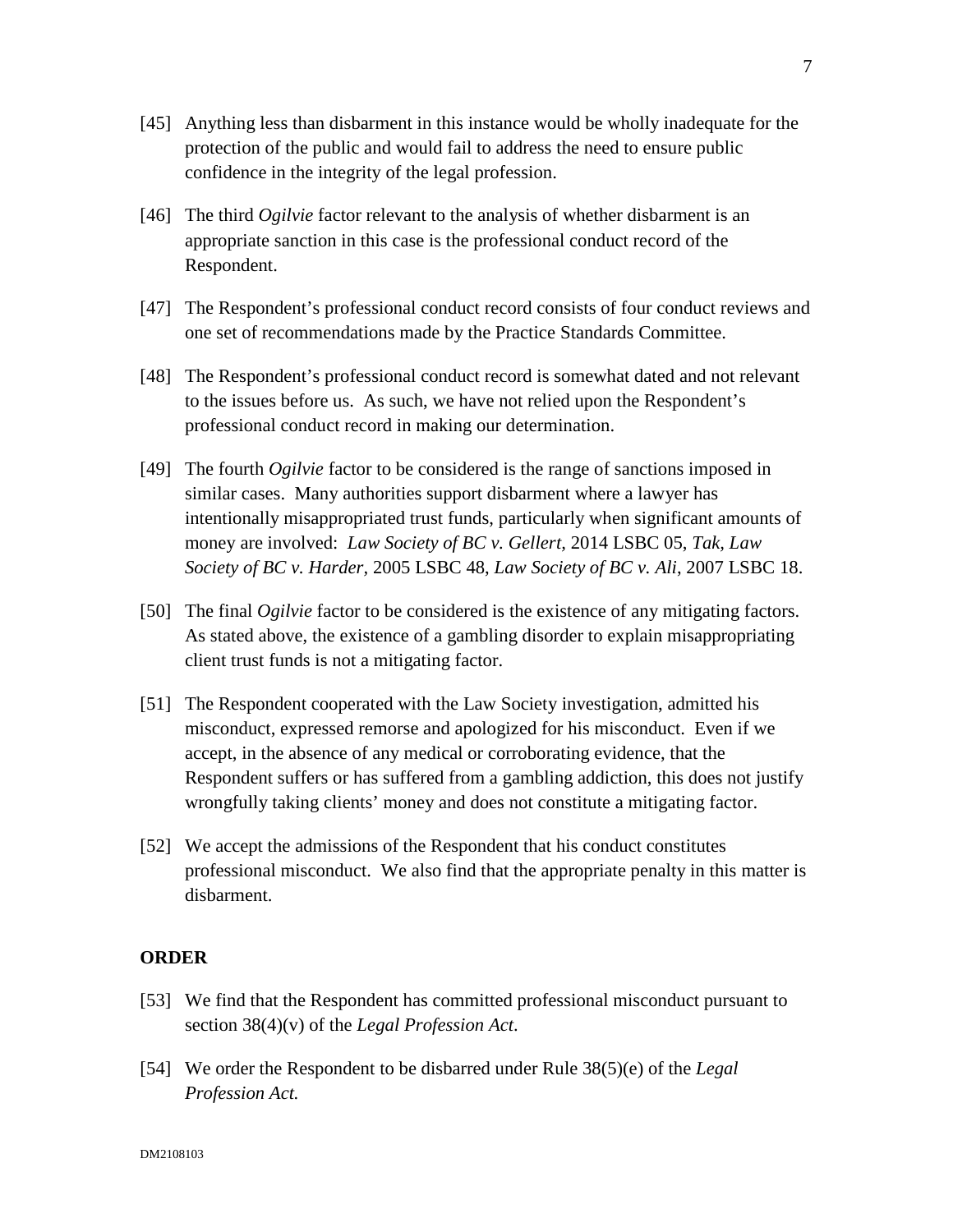- [45] Anything less than disbarment in this instance would be wholly inadequate for the protection of the public and would fail to address the need to ensure public confidence in the integrity of the legal profession.
- [46] The third *Ogilvie* factor relevant to the analysis of whether disbarment is an appropriate sanction in this case is the professional conduct record of the Respondent.
- [47] The Respondent's professional conduct record consists of four conduct reviews and one set of recommendations made by the Practice Standards Committee.
- [48] The Respondent's professional conduct record is somewhat dated and not relevant to the issues before us. As such, we have not relied upon the Respondent's professional conduct record in making our determination.
- [49] The fourth *Ogilvie* factor to be considered is the range of sanctions imposed in similar cases. Many authorities support disbarment where a lawyer has intentionally misappropriated trust funds, particularly when significant amounts of money are involved: *Law Society of BC v. Gellert,* 2014 LSBC 05, *Tak, Law Society of BC v. Harder,* 2005 LSBC 48, *Law Society of BC v. Ali*, 2007 LSBC 18.
- [50] The final *Ogilvie* factor to be considered is the existence of any mitigating factors. As stated above, the existence of a gambling disorder to explain misappropriating client trust funds is not a mitigating factor.
- [51] The Respondent cooperated with the Law Society investigation, admitted his misconduct, expressed remorse and apologized for his misconduct. Even if we accept, in the absence of any medical or corroborating evidence, that the Respondent suffers or has suffered from a gambling addiction, this does not justify wrongfully taking clients' money and does not constitute a mitigating factor.
- [52] We accept the admissions of the Respondent that his conduct constitutes professional misconduct. We also find that the appropriate penalty in this matter is disbarment.

### **ORDER**

- [53] We find that the Respondent has committed professional misconduct pursuant to section 38(4)(v) of the *Legal Profession Act*.
- [54] We order the Respondent to be disbarred under Rule 38(5)(e) of the *Legal Profession Act.*